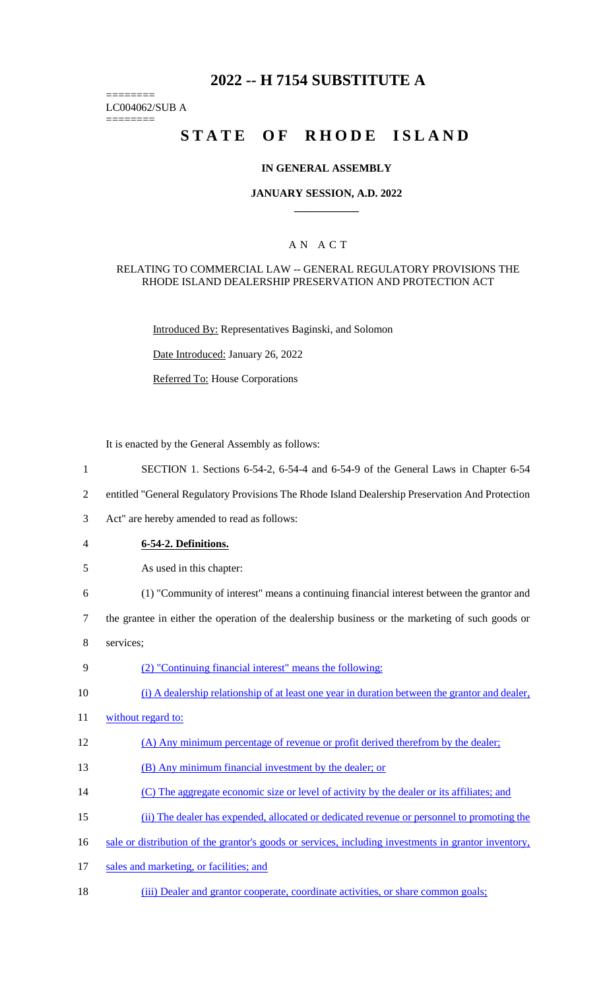# **2022 -- H 7154 SUBSTITUTE A**

======== LC004062/SUB A

========

# STATE OF RHODE ISLAND

#### **IN GENERAL ASSEMBLY**

#### **JANUARY SESSION, A.D. 2022 \_\_\_\_\_\_\_\_\_\_\_\_**

## A N A C T

#### RELATING TO COMMERCIAL LAW -- GENERAL REGULATORY PROVISIONS THE RHODE ISLAND DEALERSHIP PRESERVATION AND PROTECTION ACT

Introduced By: Representatives Baginski, and Solomon

Date Introduced: January 26, 2022

Referred To: House Corporations

It is enacted by the General Assembly as follows:

- 1 SECTION 1. Sections 6-54-2, 6-54-4 and 6-54-9 of the General Laws in Chapter 6-54
- 2 entitled "General Regulatory Provisions The Rhode Island Dealership Preservation And Protection
- 3 Act" are hereby amended to read as follows:
- 4 **6-54-2. Definitions.**
- 5 As used in this chapter:
- 6 (1) "Community of interest" means a continuing financial interest between the grantor and
- 7 the grantee in either the operation of the dealership business or the marketing of such goods or
- 8 services;
- 9 (2) "Continuing financial interest" means the following:
- 10 (i) A dealership relationship of at least one year in duration between the grantor and dealer,
- 11 without regard to:
- 12 (A) Any minimum percentage of revenue or profit derived therefrom by the dealer;
- 13 (B) Any minimum financial investment by the dealer; or
- 14 (C) The aggregate economic size or level of activity by the dealer or its affiliates; and
- 15 (ii) The dealer has expended, allocated or dedicated revenue or personnel to promoting the
- 16 sale or distribution of the grantor's goods or services, including investments in grantor inventory,
- 17 sales and marketing, or facilities; and
- 18 (iii) Dealer and grantor cooperate, coordinate activities, or share common goals;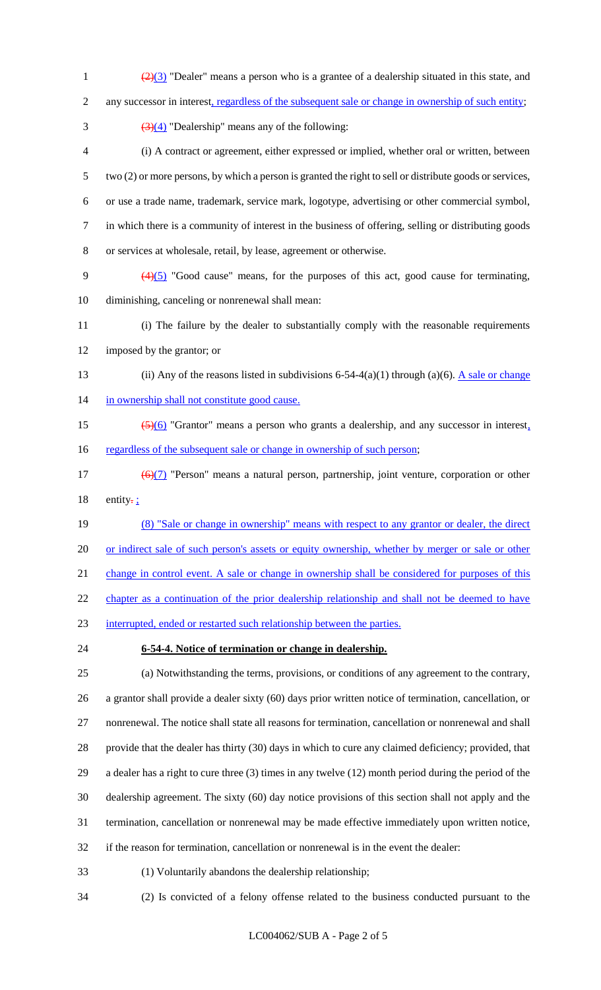- 1  $\frac{(2)(3)}{2}$  "Dealer" means a person who is a grantee of a dealership situated in this state, and 2 any successor in interest, regardless of the subsequent sale or change in ownership of such entity;  $\frac{(3)(4)}{(2)(4)}$  "Dealership" means any of the following: (i) A contract or agreement, either expressed or implied, whether oral or written, between two (2) or more persons, by which a person is granted the right to sell or distribute goods or services, or use a trade name, trademark, service mark, logotype, advertising or other commercial symbol,
- in which there is a community of interest in the business of offering, selling or distributing goods
- or services at wholesale, retail, by lease, agreement or otherwise.
- 9  $(4)(5)$  "Good cause" means, for the purposes of this act, good cause for terminating, diminishing, canceling or nonrenewal shall mean:
- (i) The failure by the dealer to substantially comply with the reasonable requirements imposed by the grantor; or
- 13 (ii) Any of the reasons listed in subdivisions 6-54-4(a)(1) through (a)(6). A sale or change 14 in ownership shall not constitute good cause.
- (5)(6) "Grantor" means a person who grants a dealership, and any successor in interest, 16 regardless of the subsequent sale or change in ownership of such person;
- 17  $\left(\frac{6}{7}\right)$  "Person" means a natural person, partnership, joint venture, corporation or other 18 entity- $\frac{1}{2}$
- (8) "Sale or change in ownership" means with respect to any grantor or dealer, the direct or indirect sale of such person's assets or equity ownership, whether by merger or sale or other

21 change in control event. A sale or change in ownership shall be considered for purposes of this

22 chapter as a continuation of the prior dealership relationship and shall not be deemed to have

- interrupted, ended or restarted such relationship between the parties.
- 

# **6-54-4. Notice of termination or change in dealership.**

 (a) Notwithstanding the terms, provisions, or conditions of any agreement to the contrary, a grantor shall provide a dealer sixty (60) days prior written notice of termination, cancellation, or nonrenewal. The notice shall state all reasons for termination, cancellation or nonrenewal and shall provide that the dealer has thirty (30) days in which to cure any claimed deficiency; provided, that a dealer has a right to cure three (3) times in any twelve (12) month period during the period of the dealership agreement. The sixty (60) day notice provisions of this section shall not apply and the termination, cancellation or nonrenewal may be made effective immediately upon written notice, if the reason for termination, cancellation or nonrenewal is in the event the dealer:

- (1) Voluntarily abandons the dealership relationship;
- (2) Is convicted of a felony offense related to the business conducted pursuant to the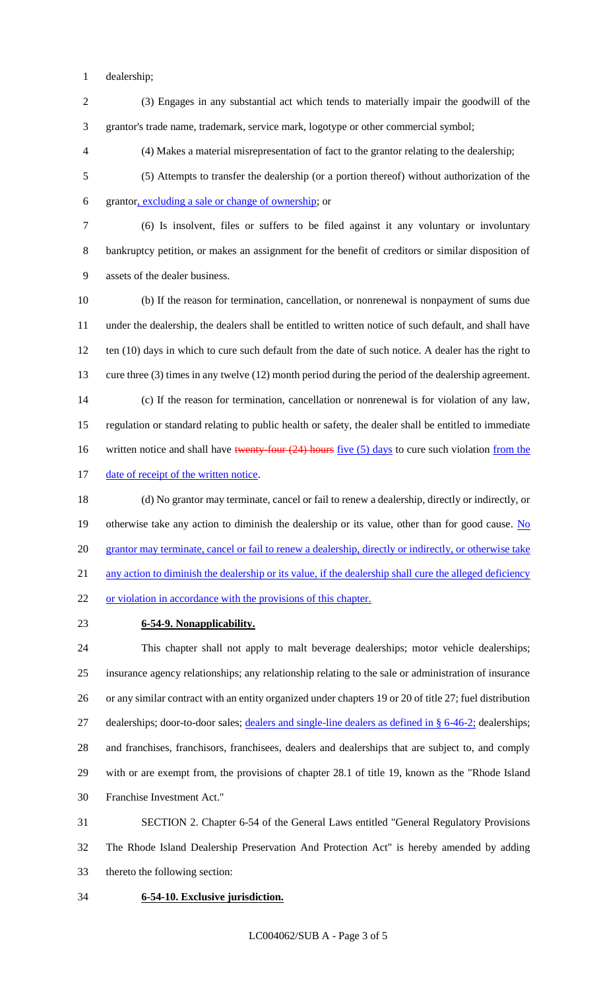dealership;

- (3) Engages in any substantial act which tends to materially impair the goodwill of the grantor's trade name, trademark, service mark, logotype or other commercial symbol;
- (4) Makes a material misrepresentation of fact to the grantor relating to the dealership;
- (5) Attempts to transfer the dealership (or a portion thereof) without authorization of the grantor, excluding a sale or change of ownership; or
- 

 (6) Is insolvent, files or suffers to be filed against it any voluntary or involuntary bankruptcy petition, or makes an assignment for the benefit of creditors or similar disposition of assets of the dealer business.

- (b) If the reason for termination, cancellation, or nonrenewal is nonpayment of sums due under the dealership, the dealers shall be entitled to written notice of such default, and shall have 12 ten (10) days in which to cure such default from the date of such notice. A dealer has the right to cure three (3) times in any twelve (12) month period during the period of the dealership agreement. (c) If the reason for termination, cancellation or nonrenewal is for violation of any law, regulation or standard relating to public health or safety, the dealer shall be entitled to immediate 16 written notice and shall have twenty-four (24) hours five (5) days to cure such violation from the 17 date of receipt of the written notice.
- (d) No grantor may terminate, cancel or fail to renew a dealership, directly or indirectly, or 19 otherwise take any action to diminish the dealership or its value, other than for good cause. No 20 grantor may terminate, cancel or fail to renew a dealership, directly or indirectly, or otherwise take 21 any action to diminish the dealership or its value, if the dealership shall cure the alleged deficiency or violation in accordance with the provisions of this chapter.
- 

## **6-54-9. Nonapplicability.**

 This chapter shall not apply to malt beverage dealerships; motor vehicle dealerships; insurance agency relationships; any relationship relating to the sale or administration of insurance or any similar contract with an entity organized under chapters 19 or 20 of title 27; fuel distribution 27 dealerships; door-to-door sales; dealers and single-line dealers as defined in § 6-46-2; dealerships; and franchises, franchisors, franchisees, dealers and dealerships that are subject to, and comply with or are exempt from, the provisions of chapter 28.1 of title 19, known as the "Rhode Island Franchise Investment Act."

 SECTION 2. Chapter 6-54 of the General Laws entitled "General Regulatory Provisions The Rhode Island Dealership Preservation And Protection Act" is hereby amended by adding thereto the following section:

#### **6-54-10. Exclusive jurisdiction.**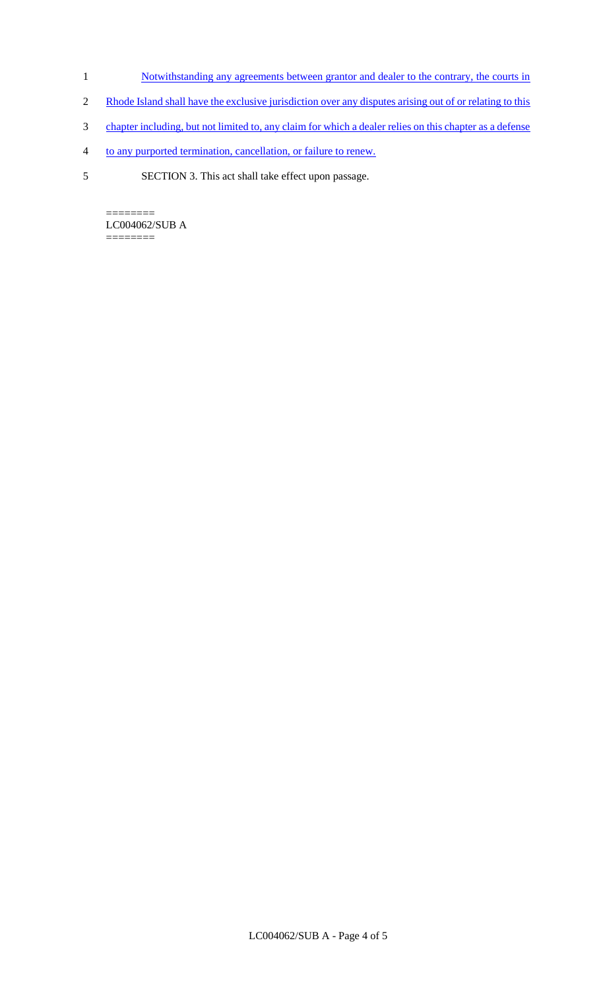- 1 Notwithstanding any agreements between grantor and dealer to the contrary, the courts in
- 2 Rhode Island shall have the exclusive jurisdiction over any disputes arising out of or relating to this
- 3 chapter including, but not limited to, any claim for which a dealer relies on this chapter as a defense
- 4 to any purported termination, cancellation, or failure to renew.
- 5 SECTION 3. This act shall take effect upon passage.

 $=$ LC004062/SUB A ========